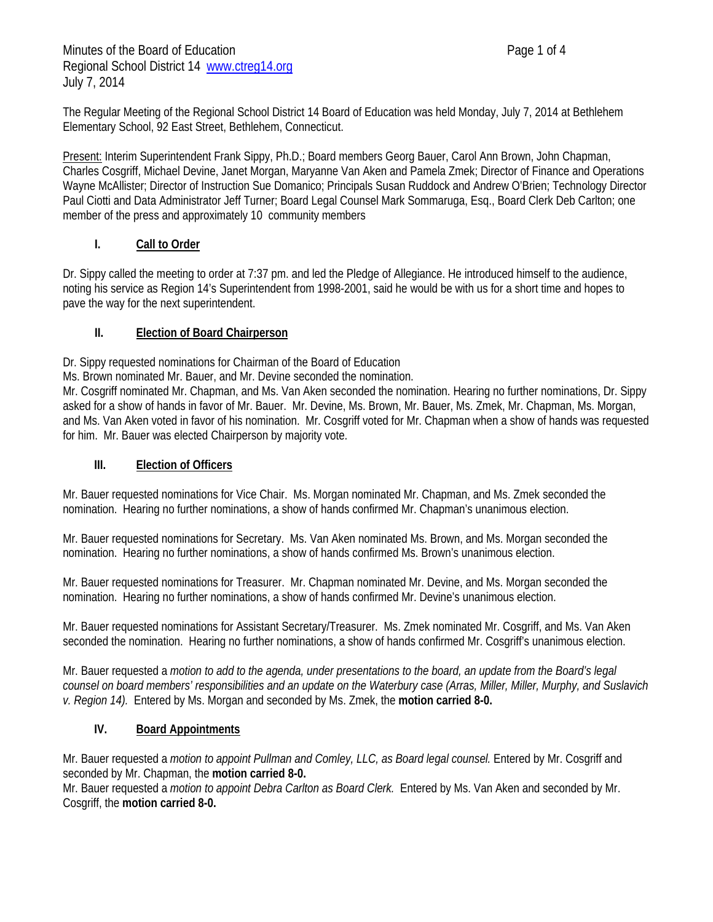Minutes of the Board of Education **Page 1 of 4** Regional School District 14 www.ctreg14.org July 7, 2014

The Regular Meeting of the Regional School District 14 Board of Education was held Monday, July 7, 2014 at Bethlehem Elementary School, 92 East Street, Bethlehem, Connecticut.

Present: Interim Superintendent Frank Sippy, Ph.D.; Board members Georg Bauer, Carol Ann Brown, John Chapman, Charles Cosgriff, Michael Devine, Janet Morgan, Maryanne Van Aken and Pamela Zmek; Director of Finance and Operations Wayne McAllister; Director of Instruction Sue Domanico; Principals Susan Ruddock and Andrew O'Brien; Technology Director Paul Ciotti and Data Administrator Jeff Turner; Board Legal Counsel Mark Sommaruga, Esq., Board Clerk Deb Carlton; one member of the press and approximately 10 community members

## **I. Call to Order**

Dr. Sippy called the meeting to order at 7:37 pm. and led the Pledge of Allegiance. He introduced himself to the audience, noting his service as Region 14's Superintendent from 1998-2001, said he would be with us for a short time and hopes to pave the way for the next superintendent.

## **II. Election of Board Chairperson**

Dr. Sippy requested nominations for Chairman of the Board of Education

Ms. Brown nominated Mr. Bauer, and Mr. Devine seconded the nomination.

Mr. Cosgriff nominated Mr. Chapman, and Ms. Van Aken seconded the nomination. Hearing no further nominations, Dr. Sippy asked for a show of hands in favor of Mr. Bauer. Mr. Devine, Ms. Brown, Mr. Bauer, Ms. Zmek, Mr. Chapman, Ms. Morgan, and Ms. Van Aken voted in favor of his nomination. Mr. Cosgriff voted for Mr. Chapman when a show of hands was requested for him. Mr. Bauer was elected Chairperson by majority vote.

#### **III. Election of Officers**

Mr. Bauer requested nominations for Vice Chair. Ms. Morgan nominated Mr. Chapman, and Ms. Zmek seconded the nomination. Hearing no further nominations, a show of hands confirmed Mr. Chapman's unanimous election.

Mr. Bauer requested nominations for Secretary. Ms. Van Aken nominated Ms. Brown, and Ms. Morgan seconded the nomination. Hearing no further nominations, a show of hands confirmed Ms. Brown's unanimous election.

Mr. Bauer requested nominations for Treasurer. Mr. Chapman nominated Mr. Devine, and Ms. Morgan seconded the nomination. Hearing no further nominations, a show of hands confirmed Mr. Devine's unanimous election.

Mr. Bauer requested nominations for Assistant Secretary/Treasurer. Ms. Zmek nominated Mr. Cosgriff, and Ms. Van Aken seconded the nomination. Hearing no further nominations, a show of hands confirmed Mr. Cosgriff's unanimous election.

Mr. Bauer requested a *motion to add to the agenda, under presentations to the board, an update from the Board's legal counsel on board members' responsibilities and an update on the Waterbury case (Arras, Miller, Miller, Murphy, and Suslavich v. Region 14).* Entered by Ms. Morgan and seconded by Ms. Zmek, the **motion carried 8-0.**

#### **IV. Board Appointments**

Mr. Bauer requested a *motion to appoint Pullman and Comley, LLC, as Board legal counsel.* Entered by Mr. Cosgriff and seconded by Mr. Chapman, the **motion carried 8-0.**

Mr. Bauer requested a *motion to appoint Debra Carlton as Board Clerk.* Entered by Ms. Van Aken and seconded by Mr. Cosgriff, the **motion carried 8-0.**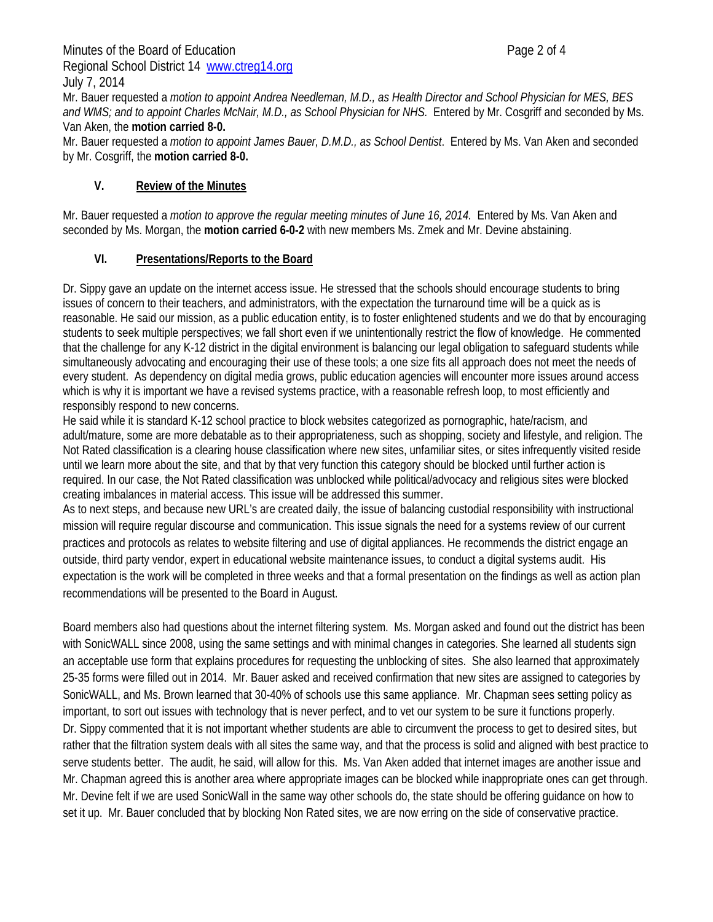Minutes of the Board of Education **Page 2 of 4** Regional School District 14 www.ctreg14.org

July 7, 2014 Mr. Bauer requested a *motion to appoint Andrea Needleman, M.D., as Health Director and School Physician for MES, BES and WMS; and to appoint Charles McNair, M.D., as School Physician for NHS.* Entered by Mr. Cosgriff and seconded by Ms. Van Aken, the **motion carried 8-0.**

Mr. Bauer requested a *motion to appoint James Bauer, D.M.D., as School Dentist*. Entered by Ms. Van Aken and seconded by Mr. Cosgriff, the **motion carried 8-0.**

## **V. Review of the Minutes**

Mr. Bauer requested a *motion to approve the regular meeting minutes of June 16, 2014.* Entered by Ms. Van Aken and seconded by Ms. Morgan, the **motion carried 6-0-2** with new members Ms. Zmek and Mr. Devine abstaining.

## **VI. Presentations/Reports to the Board**

Dr. Sippy gave an update on the internet access issue. He stressed that the schools should encourage students to bring issues of concern to their teachers, and administrators, with the expectation the turnaround time will be a quick as is reasonable. He said our mission, as a public education entity, is to foster enlightened students and we do that by encouraging students to seek multiple perspectives; we fall short even if we unintentionally restrict the flow of knowledge. He commented that the challenge for any K-12 district in the digital environment is balancing our legal obligation to safeguard students while simultaneously advocating and encouraging their use of these tools; a one size fits all approach does not meet the needs of every student. As dependency on digital media grows, public education agencies will encounter more issues around access which is why it is important we have a revised systems practice, with a reasonable refresh loop, to most efficiently and responsibly respond to new concerns.

He said while it is standard K-12 school practice to block websites categorized as pornographic, hate/racism, and adult/mature, some are more debatable as to their appropriateness, such as shopping, society and lifestyle, and religion. The Not Rated classification is a clearing house classification where new sites, unfamiliar sites, or sites infrequently visited reside until we learn more about the site, and that by that very function this category should be blocked until further action is required. In our case, the Not Rated classification was unblocked while political/advocacy and religious sites were blocked creating imbalances in material access. This issue will be addressed this summer.

As to next steps, and because new URL's are created daily, the issue of balancing custodial responsibility with instructional mission will require regular discourse and communication. This issue signals the need for a systems review of our current practices and protocols as relates to website filtering and use of digital appliances. He recommends the district engage an outside, third party vendor, expert in educational website maintenance issues, to conduct a digital systems audit. His expectation is the work will be completed in three weeks and that a formal presentation on the findings as well as action plan recommendations will be presented to the Board in August.

Board members also had questions about the internet filtering system. Ms. Morgan asked and found out the district has been with SonicWALL since 2008, using the same settings and with minimal changes in categories. She learned all students sign an acceptable use form that explains procedures for requesting the unblocking of sites. She also learned that approximately 25-35 forms were filled out in 2014. Mr. Bauer asked and received confirmation that new sites are assigned to categories by SonicWALL, and Ms. Brown learned that 30-40% of schools use this same appliance. Mr. Chapman sees setting policy as important, to sort out issues with technology that is never perfect, and to vet our system to be sure it functions properly. Dr. Sippy commented that it is not important whether students are able to circumvent the process to get to desired sites, but rather that the filtration system deals with all sites the same way, and that the process is solid and aligned with best practice to serve students better. The audit, he said, will allow for this. Ms. Van Aken added that internet images are another issue and Mr. Chapman agreed this is another area where appropriate images can be blocked while inappropriate ones can get through. Mr. Devine felt if we are used SonicWall in the same way other schools do, the state should be offering guidance on how to set it up. Mr. Bauer concluded that by blocking Non Rated sites, we are now erring on the side of conservative practice.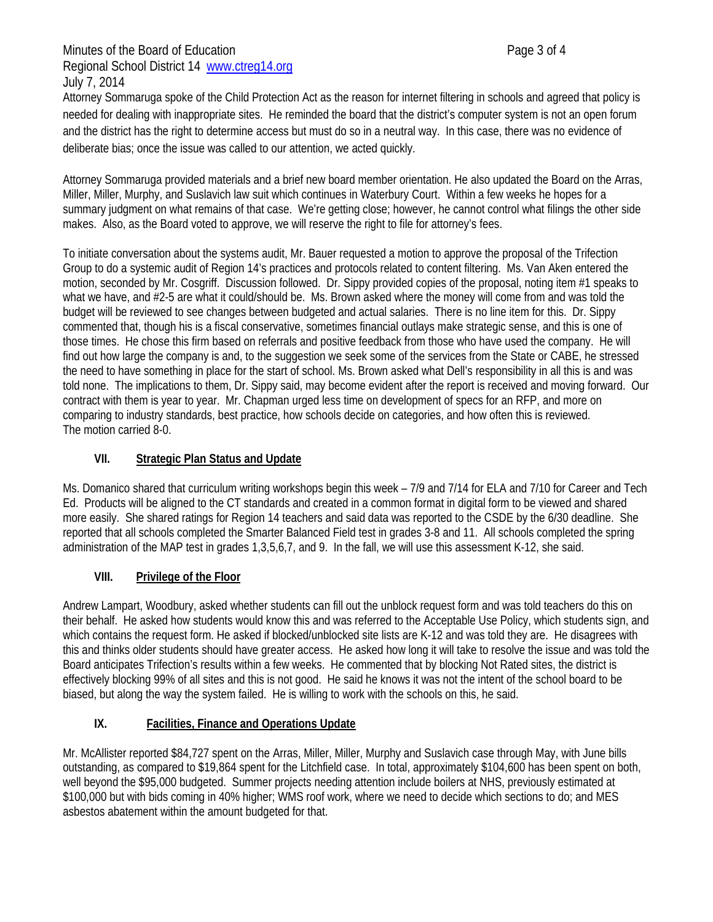Attorney Sommaruga spoke of the Child Protection Act as the reason for internet filtering in schools and agreed that policy is needed for dealing with inappropriate sites. He reminded the board that the district's computer system is not an open forum and the district has the right to determine access but must do so in a neutral way. In this case, there was no evidence of deliberate bias; once the issue was called to our attention, we acted quickly.

Attorney Sommaruga provided materials and a brief new board member orientation. He also updated the Board on the Arras, Miller, Miller, Murphy, and Suslavich law suit which continues in Waterbury Court. Within a few weeks he hopes for a summary judgment on what remains of that case. We're getting close; however, he cannot control what filings the other side makes. Also, as the Board voted to approve, we will reserve the right to file for attorney's fees.

To initiate conversation about the systems audit, Mr. Bauer requested a motion to approve the proposal of the Trifection Group to do a systemic audit of Region 14's practices and protocols related to content filtering. Ms. Van Aken entered the motion, seconded by Mr. Cosgriff. Discussion followed. Dr. Sippy provided copies of the proposal, noting item #1 speaks to what we have, and #2-5 are what it could/should be. Ms. Brown asked where the money will come from and was told the budget will be reviewed to see changes between budgeted and actual salaries. There is no line item for this. Dr. Sippy commented that, though his is a fiscal conservative, sometimes financial outlays make strategic sense, and this is one of those times. He chose this firm based on referrals and positive feedback from those who have used the company. He will find out how large the company is and, to the suggestion we seek some of the services from the State or CABE, he stressed the need to have something in place for the start of school. Ms. Brown asked what Dell's responsibility in all this is and was told none. The implications to them, Dr. Sippy said, may become evident after the report is received and moving forward. Our contract with them is year to year. Mr. Chapman urged less time on development of specs for an RFP, and more on comparing to industry standards, best practice, how schools decide on categories, and how often this is reviewed. The motion carried 8-0.

## **VII. Strategic Plan Status and Update**

Ms. Domanico shared that curriculum writing workshops begin this week – 7/9 and 7/14 for ELA and 7/10 for Career and Tech Ed. Products will be aligned to the CT standards and created in a common format in digital form to be viewed and shared more easily. She shared ratings for Region 14 teachers and said data was reported to the CSDE by the 6/30 deadline. She reported that all schools completed the Smarter Balanced Field test in grades 3-8 and 11. All schools completed the spring administration of the MAP test in grades 1,3,5,6,7, and 9. In the fall, we will use this assessment K-12, she said.

# **VIII. Privilege of the Floor**

Andrew Lampart, Woodbury, asked whether students can fill out the unblock request form and was told teachers do this on their behalf. He asked how students would know this and was referred to the Acceptable Use Policy, which students sign, and which contains the request form. He asked if blocked/unblocked site lists are K-12 and was told they are. He disagrees with this and thinks older students should have greater access. He asked how long it will take to resolve the issue and was told the Board anticipates Trifection's results within a few weeks. He commented that by blocking Not Rated sites, the district is effectively blocking 99% of all sites and this is not good. He said he knows it was not the intent of the school board to be biased, but along the way the system failed. He is willing to work with the schools on this, he said.

# **IX. Facilities, Finance and Operations Update**

Mr. McAllister reported \$84,727 spent on the Arras, Miller, Miller, Murphy and Suslavich case through May, with June bills outstanding, as compared to \$19,864 spent for the Litchfield case. In total, approximately \$104,600 has been spent on both, well beyond the \$95,000 budgeted. Summer projects needing attention include boilers at NHS, previously estimated at \$100,000 but with bids coming in 40% higher; WMS roof work, where we need to decide which sections to do; and MES asbestos abatement within the amount budgeted for that.